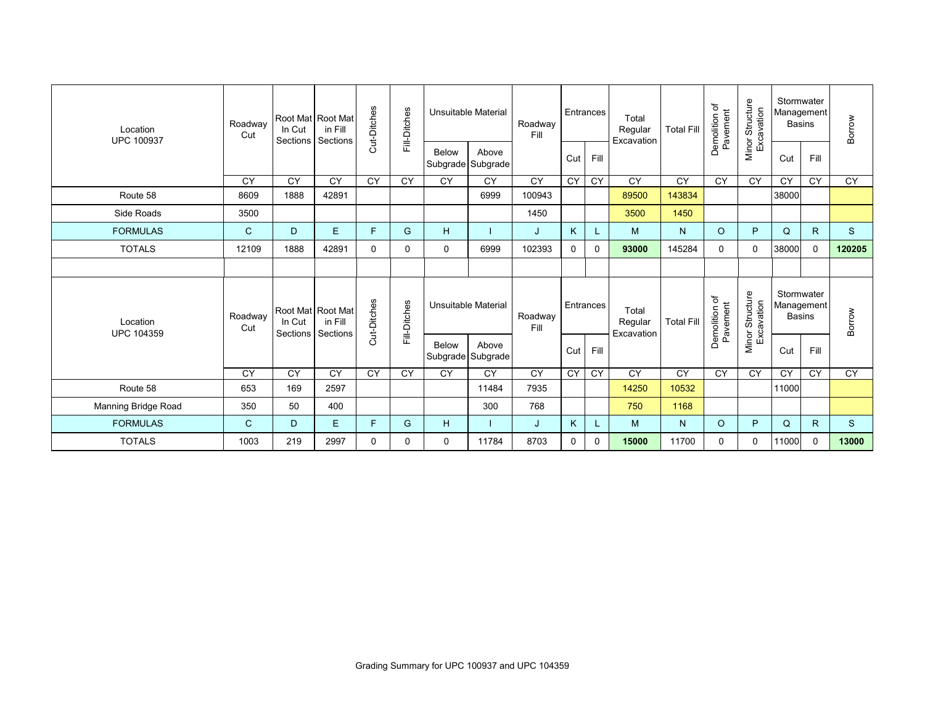| Location<br><b>UPC 100937</b> | Roadway<br>Cut | In Cut<br>Sections | Root Mat Root Mat<br>in Fill<br>Sections | Cut-Ditches  | Fill-Ditches    | Unsuitable Material |                            | Roadway<br>Fill              |                 | Entrances                      | Total<br>Regular<br>Excavation | <b>Total Fill</b>         | Demolition of<br>Pavement     | Minor Structure<br>Excavation             | Stormwater<br>Management<br><b>Basins</b> |              | Borrow    |
|-------------------------------|----------------|--------------------|------------------------------------------|--------------|-----------------|---------------------|----------------------------|------------------------------|-----------------|--------------------------------|--------------------------------|---------------------------|-------------------------------|-------------------------------------------|-------------------------------------------|--------------|-----------|
|                               |                |                    |                                          |              |                 | Below               | Above<br>Subgrade Subgrade |                              | Cut             | Fill                           |                                |                           |                               |                                           | Cut                                       | Fill         |           |
|                               | <b>CY</b>      | <b>CY</b>          | CY                                       | CY           | $\overline{CY}$ | <b>CY</b>           | <b>CY</b>                  | <b>CY</b>                    | CY              | <b>CY</b>                      | <b>CY</b>                      | $\overline{CY}$           | <b>CY</b>                     | $\overline{CY}$                           | <b>CY</b>                                 | <b>CY</b>    | <b>CY</b> |
| Route 58                      | 8609           | 1888               | 42891                                    |              |                 |                     | 6999                       | 100943                       |                 |                                | 89500                          | 143834                    |                               |                                           | 38000                                     |              |           |
| Side Roads                    | 3500           |                    |                                          |              |                 |                     |                            | 1450                         |                 |                                | 3500                           | 1450                      |                               |                                           |                                           |              |           |
| <b>FORMULAS</b>               | $\mathsf{C}$   | D                  | E                                        | F            | G               | н                   |                            | J                            | K               |                                | м                              | N <sub>1</sub>            | $\circ$                       | P                                         | Q                                         | $\mathsf{R}$ | S         |
| <b>TOTALS</b>                 | 12109          | 1888               | 42891                                    | $\mathbf{0}$ | 0               | 0                   | 6999                       | 102393                       | 0               | 0                              | 93000                          | 145284                    | $\Omega$                      | 0                                         | 38000                                     | $\Omega$     | 120205    |
|                               |                |                    |                                          |              |                 |                     |                            |                              |                 |                                |                                |                           |                               |                                           |                                           |              |           |
| Location<br><b>UPC 104359</b> | Roadway<br>Cut | In Cut<br>Sections | Root Mat Root Mat<br>in Fill<br>Sections | Cut-Ditches  | Fill-Ditches    | Unsuitable Material |                            | Entrances<br>Roadway<br>Fill |                 | Total<br>Regular<br>Excavation | <b>Total Fill</b>              | Demolition of<br>Pavement | Minor Structure<br>Excavation | Stormwater<br>Management<br><b>Basins</b> |                                           | Borrow       |           |
|                               |                |                    |                                          |              |                 | <b>Below</b>        | Above<br>Subgrade Subgrade |                              | Cut             | Fill                           |                                |                           |                               |                                           | Cut                                       | Fill         |           |
|                               | CY             | CY                 | CY                                       | CY           | CY              | CY                  | $\overline{CY}$            | $\overline{CY}$              | $\overline{CY}$ | $\overline{CY}$                | CY                             | CY                        | CY                            | <b>CY</b>                                 | CY                                        | CY           | CY        |
| Route 58                      | 653            | 169                | 2597                                     |              |                 |                     | 11484                      | 7935                         |                 |                                | 14250                          | 10532                     |                               |                                           | 11000                                     |              |           |
| Manning Bridge Road           | 350            | 50                 | 400                                      |              |                 |                     | 300                        | 768                          |                 |                                | 750                            | 1168                      |                               |                                           |                                           |              |           |
| <b>FORMULAS</b>               | $\mathsf{C}$   | D                  | E.                                       | F            | G               | H                   |                            | J                            | K               |                                | м                              | N <sub>1</sub>            | $\circ$                       | P                                         | Q                                         | $\mathsf{R}$ | S         |
| <b>TOTALS</b>                 | 1003           | 219                | 2997                                     | $\Omega$     | 0               | 0                   | 11784                      | 8703                         | 0               | $\Omega$                       | 15000                          | 11700                     | 0                             | 0                                         | 11000                                     | $\mathbf{0}$ | 13000     |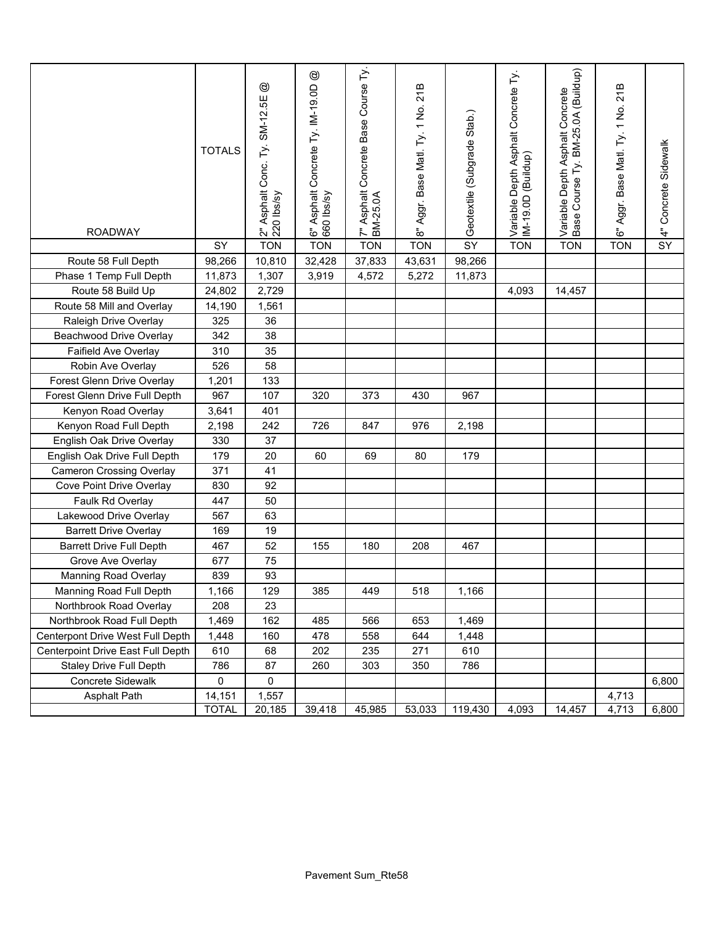| <b>ROADWAY</b>                    | <b>TOTALS</b> | $^{\circledR}$<br>2" Asphalt Conc. Ty. SM-12.5E<br>220 lbs/sy | $^{\circledR}$<br>6" Asphalt Concrete Ty. IM-19.0D<br>660 Ibs/sy | 7" Asphalt Concrete Base Course Ty.<br>BM-25.0A | 8" Aggr. Base Matl. Ty. 1 No. 21B | Geotextile (Subgrade Stab.) | Variable Depth Asphalt Concrete Ty.<br>IM-19.0D (Buildup) | BM-25.0A (Buildup)<br>Asphalt Concrete<br>Base Course Ty.<br>Variable Depth | 6" Aggr. Base Matl. Ty. 1 No. 21B | 4" Concrete Sidewalk |
|-----------------------------------|---------------|---------------------------------------------------------------|------------------------------------------------------------------|-------------------------------------------------|-----------------------------------|-----------------------------|-----------------------------------------------------------|-----------------------------------------------------------------------------|-----------------------------------|----------------------|
|                                   | SY            | <b>TON</b>                                                    | <b>TON</b>                                                       | <b>TON</b>                                      | <b>TON</b>                        | SY                          | <b>TON</b>                                                | <b>TON</b>                                                                  | <b>TON</b>                        | SY                   |
| Route 58 Full Depth               | 98,266        | 10,810                                                        | 32,428                                                           | 37,833                                          | 43,631                            | 98,266                      |                                                           |                                                                             |                                   |                      |
| Phase 1 Temp Full Depth           | 11,873        | 1,307                                                         | 3,919                                                            | 4,572                                           | 5,272                             | 11,873                      |                                                           |                                                                             |                                   |                      |
| Route 58 Build Up                 | 24,802        | 2,729                                                         |                                                                  |                                                 |                                   |                             | 4,093                                                     | 14,457                                                                      |                                   |                      |
| Route 58 Mill and Overlay         | 14,190        | 1,561                                                         |                                                                  |                                                 |                                   |                             |                                                           |                                                                             |                                   |                      |
| Raleigh Drive Overlay             | 325           | 36                                                            |                                                                  |                                                 |                                   |                             |                                                           |                                                                             |                                   |                      |
| <b>Beachwood Drive Overlay</b>    | 342           | 38                                                            |                                                                  |                                                 |                                   |                             |                                                           |                                                                             |                                   |                      |
| Faifield Ave Overlay              | 310           | 35                                                            |                                                                  |                                                 |                                   |                             |                                                           |                                                                             |                                   |                      |
| Robin Ave Overlay                 | 526           | 58                                                            |                                                                  |                                                 |                                   |                             |                                                           |                                                                             |                                   |                      |
| Forest Glenn Drive Overlay        | 1,201         | 133                                                           |                                                                  |                                                 |                                   |                             |                                                           |                                                                             |                                   |                      |
| Forest Glenn Drive Full Depth     | 967           | 107                                                           | 320                                                              | 373                                             | 430                               | 967                         |                                                           |                                                                             |                                   |                      |
| Kenyon Road Overlay               | 3,641         | 401                                                           |                                                                  |                                                 |                                   |                             |                                                           |                                                                             |                                   |                      |
| Kenyon Road Full Depth            | 2,198         | 242                                                           | 726                                                              | 847                                             | 976                               | 2,198                       |                                                           |                                                                             |                                   |                      |
| English Oak Drive Overlay         | 330           | 37                                                            |                                                                  |                                                 |                                   |                             |                                                           |                                                                             |                                   |                      |
| English Oak Drive Full Depth      | 179           | 20                                                            | 60                                                               | 69                                              | 80                                | 179                         |                                                           |                                                                             |                                   |                      |
| <b>Cameron Crossing Overlay</b>   | 371           | 41                                                            |                                                                  |                                                 |                                   |                             |                                                           |                                                                             |                                   |                      |
| Cove Point Drive Overlay          | 830           | 92                                                            |                                                                  |                                                 |                                   |                             |                                                           |                                                                             |                                   |                      |
| Faulk Rd Overlay                  | 447           | 50                                                            |                                                                  |                                                 |                                   |                             |                                                           |                                                                             |                                   |                      |
| Lakewood Drive Overlay            | 567           | 63                                                            |                                                                  |                                                 |                                   |                             |                                                           |                                                                             |                                   |                      |
| <b>Barrett Drive Overlay</b>      | 169           | 19                                                            |                                                                  |                                                 |                                   |                             |                                                           |                                                                             |                                   |                      |
| <b>Barrett Drive Full Depth</b>   | 467           | 52                                                            | 155                                                              | 180                                             | 208                               | 467                         |                                                           |                                                                             |                                   |                      |
| Grove Ave Overlay                 | 677           | 75                                                            |                                                                  |                                                 |                                   |                             |                                                           |                                                                             |                                   |                      |
| Manning Road Overlay              | 839           | 93                                                            |                                                                  |                                                 |                                   |                             |                                                           |                                                                             |                                   |                      |
| Manning Road Full Depth           | 1,166         | 129                                                           | 385                                                              | 449                                             | 518                               | 1,166                       |                                                           |                                                                             |                                   |                      |
| Northbrook Road Overlay           | 208           | 23                                                            |                                                                  |                                                 |                                   |                             |                                                           |                                                                             |                                   |                      |
| Northbrook Road Full Depth        | 1,469         | 162                                                           | 485                                                              | 566                                             | 653                               | 1,469                       |                                                           |                                                                             |                                   |                      |
| Centerpont Drive West Full Depth  | 1,448         | 160                                                           | 478                                                              | 558                                             | 644                               | 1,448                       |                                                           |                                                                             |                                   |                      |
| Centerpoint Drive East Full Depth | 610           | 68                                                            | 202                                                              | 235                                             | 271                               | 610                         |                                                           |                                                                             |                                   |                      |
| <b>Staley Drive Full Depth</b>    | 786           | 87                                                            | 260                                                              | 303                                             | 350                               | 786                         |                                                           |                                                                             |                                   |                      |
| <b>Concrete Sidewalk</b>          | 0             | 0                                                             |                                                                  |                                                 |                                   |                             |                                                           |                                                                             |                                   | 6,800                |
| <b>Asphalt Path</b>               | 14,151        | 1,557                                                         |                                                                  |                                                 |                                   |                             |                                                           |                                                                             | 4,713                             |                      |
|                                   | <b>TOTAL</b>  | 20,185                                                        | 39,418                                                           | 45,985                                          | 53,033                            | 119,430                     | 4,093                                                     | 14,457                                                                      | 4,713                             | 6,800                |